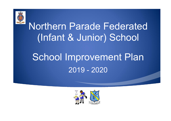

# Northern Parade Federated (Infant & Junior) School

# School Improvement Plan 2019 - 2020

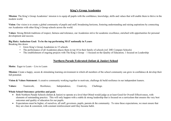# **King's Group Academies**

**Mission**: The King's Group Academies' mission is to equip all pupils with the confidence, knowledge, skills and values that will enable them to thrive in the modern world.

**Vision**: Our vision is to create a global community of pupils and staff; broadening horizons, fostering understanding and raising aspirations by connecting our Academies with other King's Group schools across the world.

**Values**: Strong British traditions ofrespect, fairness and tolerance, our Academies strive for academic excellence, enriched with opportunities for personal development and success.

## **Big Hairy Audacious Goal: To be the top performing MAT nationally in 5 years**

Breaking this down

- Grow King's Group Academies to 15 schools
- The performance of all Academies places them in top 10 in their family of schools (ref. DfE Compare Schools)
- The establishment of ongoing projects with The King's Group  $-1$  focused on the Quality of Education; 1 focused on Leadership

# **Northern Parade Federated (Infant & Junior) School**

**Motto:** Eager to Learn ~ Live to Learn

**Mission:** Create a happy, secure & stimulating learning environment in which all members of the school community can grow in confidence & develop their full potential.

**Vision & Values Statement:** A creative community working together to motivate, challenge & build resilience in our independent leaners.

**Values:** Teamwork, Resilience, Independence, Creativity, Challenge.

## **Whole School Outcomes: priorities and goals**

- Both Northern Parade Schools (Infant & Junior) to operate at a level that Ofsted would judge as at least Good for Overall Effectiveness, with elements of outstanding practice. This will only happen with a stable  $\&$  strong leadership that is focused on a curriculum that ensures the very best outcomes and quality of education for our pupils.
- Expectations must be higher, of ourselves, all staff, governors, pupils, parents  $\&$  the community. To raise these expectations, we must ensure that they are clear & consistent, with constant reinforcement until they became habit.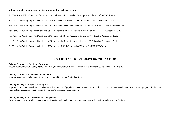### **Whole School Outcomes: priorities and goals for each yeargroup:**

For Year R the Wildly Important Goals are: 72%+ achieve a Good Level of Development at the end of the EYFS 2020. For Year 1 the Wildly Important Goals are: 90%+ achieve the expected standard in the Yr 1 Phonics Screening Check. For Year 2 the Wildly Important Goals are: 70%+ achieve RWM Combined at EXS+ at the end of KS1 Teacher Assessment 2020. For Year 3 the Wildly Important Goals are:  $65 - 70\%$  achieve EXS+ in Reading at the end of Yr 3 Teacher Assessment 2020. For Year 4 the Wildly Important Goals are: 75%+ achieve EXS+ in Reading at the end of Yr 4 Teacher Assessment 2020. For Year 5 the Wildly Important Goals are: 75%+ achieve EXS+ in Reading at the end of Yr 5 Teacher Assessment 2020. For Year 6 the Wildly Important Goals are: 70%+ achieve RWM Combined at EXS+ in the KS2 SATs 2020.

#### **KEY PRIORITIES FOR SCHOOL IMPROVEMENT 2019 - 2020**

#### **Driving Priority 1 – Quality of Education**

Ensure that there is high quality curriculum intent, implementation & impact which results in improved outcomes for all pupils.

#### **Driving Priority 2 – Behaviour and Attitudes**

Improve standards of behaviour within lessons, around the school  $\&$  at other times.

#### **Driving Priority 3 – Personal Development**

Improve the spiritual, moral, social and cultural development of pupils which contributes significantly to children with strong character who are well prepared for the next stage of their education, future careers & to be positive citizens within society.

#### **Driving Priority 4 – Leadership and Management**

Develop leaders at all levels to ensure that staff receive high quality support & development within a strong school vision & ethos.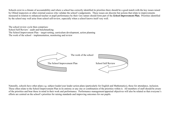Schools exist in a climate of accountability and where a school has correctly identified its priorities there should be a good match with the key issues raised by Ofsted inspectors or other external sources who validate the school's judgements. These issues are discrete but actions that relate to improvements measured in relation to enhanced teacher or pupil performance by their very nature should form part of the *School Improvement Plan*. Priorities identified by the school may well arise from school self-review, especially when a school knows itself very well.

The school review cycle then comprises: School Self Review - audit and benchmarking The School Improvement Plan – target-setting, curriculum development, action planning The work of the school  $-$  implementation, monitoring and review



Naturally, schools have other plans e.g. subject leader/year leader action plans (particularly for English and Mathematics), those for attendance, inclusion. These often relate to the School Improvement Plan in its entirety or any one or combination of the priorities within it. All members of staff should be aware of the priorities and bear these in mind in their work and performance. Performance management/appraisal objectives will also be related so that everyone's efforts are centred on the school's priorities for raising standards and improving outcomes for our pupils.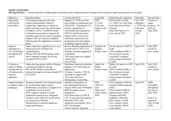## **Quality of Education**

**Driving Priority 1 –** Ensure that there is high quality curriculum intent, implementation & impact which results in improved outcomes for all pupils.

| Objective        | Intended impact                           | Actions (RAG'd)                | Lead staff   | Monitoring & evaluation   | Start date | Review date      |
|------------------|-------------------------------------------|--------------------------------|--------------|---------------------------|------------|------------------|
| Rigorously       | Curriculum progression for each           | Support 2 x TLR Curr Dev       | <b>EHT</b>   | EHT reports to LGB.       | Nov 2019   | Termly to        |
| develop the      | subjects demonstrates effective           | post-holders to understand new | $2x$ TLR     | 2 x TLRs Curr Ldrs bring  | although 2 | judge            |
| curriculum       | sequencing, impacting on improved         | Ofsted EIF. Training for CTs.  | Curr Ldrs    | back ideas from Ofsted    | x TLR Curr | progress. In     |
|                  | pupil outcomes across the whole range     | Design explanation of          | Subject Ldrs | training.                 | Ldrs start | place by         |
|                  | of subjects. $(65\% +$ for RWM comb)      | Curriculum Development at      | <b>AHTs</b>  | Subj Ldrs report to 2 x   | in Sept    | Sept 2020.       |
|                  | Curriculum assessment is rigorous $\&$    | NPS for staff & governors.     |              | Curr Ldrs & EHT.          | 2019.      |                  |
|                  | identifies gaps & next steps in learning. | Subject Ldrs to write Curr     |              |                           |            |                  |
|                  | Subject Ldrs can evidence standards.      | statements, policies & curr    |              |                           |            |                  |
|                  | Ofsted grade this judgement as Good or    | progression for each subject;  |              |                           |            |                  |
|                  | better.                                   | including Cultural Capital.    |              |                           |            |                  |
| Improve          | Pupils read more regularly (home & schl). | Review Reading approaches &    | English Ldr  | En Ldr reports to EHT &   | Sept 2019. | <b>July 2020</b> |
| standards & a    | Improved levels of fluency &              | rewards from Yr R to Yr 6.     | English      | LGB.                      |            | results $\&$     |
| love of Reading  | comprehension.                            | Promote parental engagement    | Project Team | AHTs feedback DDIs to     |            | prov results.    |
| throughout the   | Phonics, KS1 & KS2 Reading results        | in Reading.                    |              | En Ldr when relevant.     |            |                  |
| school           | above national averages & moving          | *For more detail see English   |              | Assmt/RSL regularly       |            |                  |
|                  | towards FFT20 at EXS+.                    | Action Plan.                   |              | tracks progress & reports |            |                  |
|                  |                                           | Use of PiXL.                   |              | to EHT.                   |            |                  |
| Continue to      | Pupils develop greater skills of fluency, | Distribute Numicon textbooks.  | Maths Ldr    | Maths Ldr reporst to EHT  | Sept 2019. | <b>July 2020</b> |
| improve Maths    | reasoning & problem-solving.              | Support Yr R with Numicon      | Maths        | & LGB.                    |            | results &        |
| through the use  | KS1 & KS2 Maths results above             | approaches.                    | Project Team | AHTs feedback DDIs to     |            | prov results.    |
| of Numicon & a   | national average & moving towards FFT     | Continue 'mastery' CPD for     |              | Ma Ldr when relevant.     |            |                  |
| mastery          | 20 at EXS+.                               | teaching & support staff       |              | Assmt/RSL regularly       |            |                  |
| approach         |                                           | *For more detail see           |              | tracks progress & reports |            |                  |
|                  |                                           | Mathematics Action Plan        |              | to EHT.                   |            |                  |
| Support teachers | Teachers respond to development points    | Introduce programme of         | <b>EHT</b>   | CEO regularly at NPS &    | Sept 2019. | <b>DDIs</b>      |
| to improve their | & can articulate improvements.            | Developmental Drop-ins.        | AHTs/Yr      | conducts DDIs alongside   |            | fortnightly      |
| pedagogy         | Performance of teachers is judged to be   | Ensure AHTs enact fortnightly  | Ldrs         | AHTs.                     |            | throughout       |
|                  | consistently Good or better.              | DDIs & quality assure          | Other local  | EHT conducts DDIs &       |            | the year to      |
|                  | PiXL supports teachers to target          | judgements.                    | schls in KGA | quality assures AHTs.     |            | July 2020.       |
|                  | underachievement & key marginals.         | Peer observation at CPIS &     | <b>MAT</b>   | Teachers add DDI          |            |                  |
|                  | Teachers more reflective & self-aware     | LJS. Learn from best practice. |              | feedback to BlueSky.      |            | End of yr        |
|                  | as evidenced on BlueSky.                  | Introduce PiXL with            |              | EHT reports to LGB.       |            | appraisal        |
|                  | Monitoring & evaluation addresses         | diagnostic assessments, QLA,   |              | Govs conduct school       |            | July or Sept     |
|                  | under-performance.                        | PLCs & therapies.              |              | visits linked to SIP &    |            | 2020.            |
|                  |                                           | Ensure rigorous Appraisal.     |              | write reports.            |            |                  |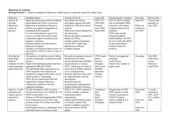# **Behaviour & Attitudes**

**Driving Priority**  $2$  – Improve standards of behaviour within lessons, around the school  $\&$  at other times.

| Objective          | Intended impact                            | Actions (RAG'd)                      | Lead staff | Monitoring & evaluation   | Start date | Review date          |
|--------------------|--------------------------------------------|--------------------------------------|------------|---------------------------|------------|----------------------|
| Review &           | Pupils & parents give positive feedback    | New Behaviour Policy                 | EHT, Yr 6  | EHT & AHTs consider       |            | Termly then          |
| develop            | about Behaviour Policy e.g surveys.        |                                      | AHT/DSL,   | this in fortnightly DDIs. | Sept 2019  |                      |
|                    |                                            | developed, agreed with staff,        |            |                           |            | annually in          |
| behaviour          | Behaviour & attitudes in lessons is        | ratified by LGB & on school          | Pastoral   | Governor visit reports    | Policy on  | <b>July 2020.</b>    |
| policy &           | effective & supports engagement in         | website.                             | team, EHT, | evidence behaviour &      | website by |                      |
| practice           | learning & better progress.                | Behaviour system displayed in        | Senco/DSL  | attitudes.                | Oct 2019   |                      |
|                    | Low-level disruption is rare & if it       | all classrooms.                      |            | CEO visits weekly.        |            |                      |
|                    | occurs it is dealt with well by staff.     | Parents & pupils consulted on        |            | Parental feedback.        |            |                      |
|                    | Leadership support rewards not just        | Behaviour Policy.                    |            | Staff feedback, esp PPA   |            |                      |
|                    | negative / sanctions.                      | Leaders model expectations.          |            | & cover staff, plus NQTs  |            |                      |
|                    | External partners note the positive        | Use the EEF 'Improving               |            | & less-experienced.       |            |                      |
|                    | behaviour of pupils.                       | Behaviour in Schools'                |            | School Council &          |            |                      |
|                    | Number of exclusions reduces (from 16.5)   | Guidance Report.                     |            | prefects.                 |            |                      |
|                    | days (NPJS) in 2018/19 to below 12 days in |                                      |            |                           |            |                      |
|                    | $2019/20$ ).                               |                                      |            |                           |            |                      |
| Develop the        | All members of staff are clear & follow    | Rewards & sanctions system is        | CPD Leader | End of year appraisal     | On-going   | <b>July 2020</b>     |
| knowledge,         | systems consistently, evidenced in staff   | distributed to all staff.            | Senco      | meetings.                 |            | with mid-yr          |
| skills &           | surveys.                                   | Ensure all behaviour (SEMH)          | Pastoral   | Staff surveys.            |            | review               |
| attitudes of staff | Pupils with challenging behaviour have     | documentation is in place.           | (Dragons   | Parent View (online or    |            | March or             |
| when managing      | appropriate IBPs &/or PSPs.                | CPD - behaviour revisited on         | Den) Team  | paper copy).              |            | April 2020.          |
| pupil behaviour    | All staff model high expectations e.g.     | Inset Days & PDMs regularly          | $MABSS -$  |                           |            |                      |
|                    | AHTs regularly out at playtime $\&$        | so it is a high priority.            | Specialist |                           |            |                      |
|                    | lunchtime to support other staff, care of  | Pastoral team have clear roles       | Teacher    |                           |            |                      |
|                    | school property / belongings.              | & responsibilities with job          | Advisor    |                           |            |                      |
|                    | NQTs & less experienced staff feel         | descriptions.                        |            |                           |            |                      |
|                    | supported to manage behaviour,             | Referral forms are                   |            |                           |            |                      |
|                    | evidenced in Induction Tutor &             | systematically implemented.          |            |                           |            |                      |
|                    | Appraisal meetings.                        | <b>Explore Restorative Practice.</b> |            |                           |            |                      |
| Improve overall    | Overall attendance is 96% or above.        | EHT & Yr 3 AHT respond to            | Attendance | Regular data to EHT.      | From Sept  | $\frac{1}{2}$ termly |
| attendance &       | PA decreases from 8.1% (NPJS) & 7.3%       | LOAFs verbally so parents            | lead       | EHT reports to LGB.       | 2019       | meeting of           |
| reduce rates of    | NPIS to each below 7%.                     | understand school                    | Senco      | Termly scorecards to      |            | EHT, AHT             |
| persistence        | Absence of Disadvantaged pupils (FSM       | expectations.                        | Pupil      | CEO & Trustees.           |            | & 2 x admin          |
| absence            | Ever 6) decreases to be in line with       | Admin staff & teachers liaise        | Premium    | Refer to IDSR & LA        | From Nov   | staff.               |
|                    | (within at least 3%) of their non-FSM      | in a timely manner with              | Champion   | School Profile.           | 2019       |                      |
|                    | Ever 6 peers.                              | leaders to address concerns.         |            |                           |            |                      |
|                    | SEND pupil absence is challenged on an     | Senco to monitor SEND                |            |                           | From Nov   |                      |
|                    | individual basis in relation to need.      | pupils.                              |            |                           | 2019       |                      |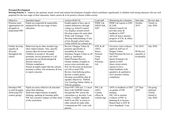# **Personal Development**

**Driving Priority 3 –** Improve the spiritual, moral, social and cultural development of pupils which contributes significantly to children with strong character who are well prepared for the next stage of their education, future careers & to be positive citizens within society.

| Objective           | Intended impact                          | Actions (RAG'd)                 | Lead staff   | Monitoring & evaluation   | Start date   | Review date       |
|---------------------|------------------------------------------|---------------------------------|--------------|---------------------------|--------------|-------------------|
| Promote more        | Pupils are respectful & responsible,     | Enable pupils to have ops to    | PSHE Ldr,    | PSHE Ldr reports to EHT   | October      | Termly to         |
| opportunities for   | prepared for the next stage of their     | explore democracy through       | EMAS link,   | & LGB.                    | 2019.        | July 2020.        |
| all pupils to       | education.                               | voting e.g. School Council.     | EHT.         | School Council Ldr        |              |                   |
| understand FBV      |                                          | Use displays around school.     |              | provides notes &          |              |                   |
|                     |                                          | Develop respect for each other. |              | feedback to EHT.          |              |                   |
|                     |                                          | Work with Trafalgar / UTC.      |              | AHTs & Senco monitor      |              |                   |
|                     |                                          | Develop understanding of rule   |              | progress of EAL & ethnic  |              |                   |
|                     |                                          | of law through school rules.    |              | minority pupils.          |              |                   |
|                     |                                          | Utilise EMAS for cultural dev.  |              |                           |              |                   |
| Further develop     | Behaviour log & other incident logs      | Revisit 5 Dragon Values &       | EHT & all    | Governor visits evidence  | Oct 2019.    | July 2020.        |
| equality $&$        | show improvements. Also, specific        | promote specifically in         | AHTs.        | pupils & staff use of     |              |                   |
| diversity           | actions taken & lessons learned.         | assemblies & lessons.           | Senco,       | Dragon Values.            | PP Review    |                   |
| throughout the      | Children in receipt of the pupil         | Introduce Dragon Values to all  | Pastoral     | Pupil Premium Review in   | annually or  |                   |
| school              | premium, service premium or LAC          | staff e.g. lunchtime.           | Team.        | Oct 2019.                 | bi-annually. |                   |
|                     | premium are not disadvantaged &          | Pupil Premium Review.           | Pupil        | Sports Premium Ldr        |              |                   |
|                     | barriers removed.                        | Greater number of pupils to     | Premium      | reports to EHT.           |              |                   |
|                     | Website compliance.                      | access extra-curricular ops.    | Ldr.         | Senco writes termly       |              |                   |
|                     | Parents & pupils report that the schools | SLE for Diversity & Inclusion   |              | reports to Govs.          |              |                   |
|                     | promote e-safety, risk awareness & how   | (at LJS) to lead CPD.           |              | Pupil feedback, both      |              |                   |
|                     | to report concerns.                      | Review Anti-bullying policy.    |              | quantitive & qualitative. |              |                   |
|                     |                                          | Review e-safety policy.         |              | Govs monitor website      |              |                   |
|                     |                                          | Develop accessibility plan &    |              | compliance.               |              |                   |
|                     |                                          | equality objectives. Publish.   |              |                           |              |                   |
|                     |                                          | Use Teaching Online Safety in   |              |                           |              |                   |
|                     |                                          | Schools guidance.               |              |                           |              |                   |
| Introduce P4C       | Pupils are more reflective & articulate  | Enact P4C CPD incl. 2 x Inset   | P4C Ldr.     | AHTs to feedback to EHT   | 23rd Sept    | On-going          |
| to staff $&$ pupils | about their thinking.                    | Days with SAPERE trainer.       | AHTs.        | on quality of P4C         | 2019.        | informal.         |
| (following EEF      | Staff note improvements in pupils'       | Incorporate P4C across the      | Comms        | training.                 |              | Termly            |
| control group)      | thinking, speaking & listening skills.   | curriculum e.g. develop 'I see, | officer $&$  | P4C Ldr to monitor        |              | formal to         |
|                     | P4C has a positive impact on other areas | I think, I wonder' approach.    | website mgr. | evidence of P4C in        |              | <b>July 2020.</b> |
|                     | of the curriculum.                       | Staff to see P4C in action in   |              | planning $&$ in lessons.  |              |                   |
|                     |                                          | other schools & make links.     |              | Report back to EHT &      |              |                   |
|                     |                                          | Communicate P4C work with       |              | Govs Standards' Com.      |              |                   |
|                     |                                          | parents.                        |              |                           |              |                   |